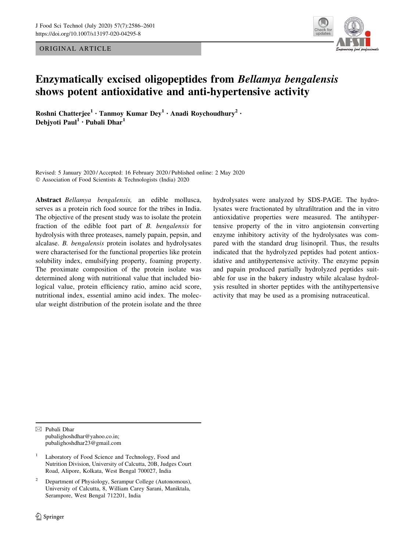ORIGINAL ARTICLE



# Enzymatically excised oligopeptides from Bellamya bengalensis shows potent antioxidative and anti-hypertensive activity

Roshni Chatterjee<sup>1</sup> · Tanmoy Kumar Dey<sup>1</sup> · Anadi Roychoudhury<sup>2</sup> · Debjyoti Paul<sup>1</sup> • Pubali Dhar<sup>1</sup>

Revised: 5 January 2020 / Accepted: 16 February 2020 / Published online: 2 May 2020  $©$  Association of Food Scientists & Technologists (India) 2020

Abstract Bellamya bengalensis, an edible mollusca, serves as a protein rich food source for the tribes in India. The objective of the present study was to isolate the protein fraction of the edible foot part of B. bengalensis for hydrolysis with three proteases, namely papain, pepsin, and alcalase. B. bengalensis protein isolates and hydrolysates were characterised for the functional properties like protein solubility index, emulsifying property, foaming property. The proximate composition of the protein isolate was determined along with nutritional value that included biological value, protein efficiency ratio, amino acid score, nutritional index, essential amino acid index. The molecular weight distribution of the protein isolate and the three hydrolysates were analyzed by SDS-PAGE. The hydrolysates were fractionated by ultrafiltration and the in vitro antioxidative properties were measured. The antihypertensive property of the in vitro angiotensin converting enzyme inhibitory activity of the hydrolysates was compared with the standard drug lisinopril. Thus, the results indicated that the hydrolyzed peptides had potent antioxidative and antihypertensive activity. The enzyme pepsin and papain produced partially hydrolyzed peptides suitable for use in the bakery industry while alcalase hydrolysis resulted in shorter peptides with the antihypertensive activity that may be used as a promising nutraceutical.

 $\boxtimes$  Pubali Dhar pubalighoshdhar@yahoo.co.in; pubalighoshdhar23@gmail.com

- 1 Laboratory of Food Science and Technology, Food and Nutrition Division, University of Calcutta, 20B, Judges Court Road, Alipore, Kolkata, West Bengal 700027, India
- <sup>2</sup> Department of Physiology, Serampur College (Autonomous), University of Calcutta, 8, William Carey Sarani, Maniktala, Serampore, West Bengal 712201, India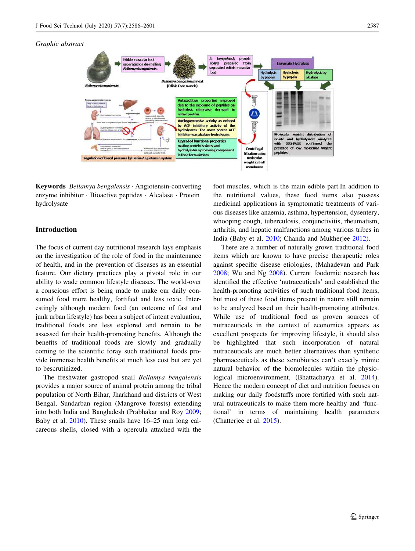

Keywords Bellamya bengalensis · Angiotensin-converting enzyme inhibitor · Bioactive peptides · Alcalase · Protein hydrolysate

## Introduction

The focus of current day nutritional research lays emphasis on the investigation of the role of food in the maintenance of health, and in the prevention of diseases as an essential feature. Our dietary practices play a pivotal role in our ability to wade common lifestyle diseases. The world-over a conscious effort is being made to make our daily consumed food more healthy, fortified and less toxic. Interestingly although modern food (an outcome of fast and junk urban lifestyle) has been a subject of intent evaluation, traditional foods are less explored and remain to be assessed for their health-promoting benefits. Although the benefits of traditional foods are slowly and gradually coming to the scientific foray such traditional foods provide immense health benefits at much less cost but are yet to bescrutinized.

The freshwater gastropod snail Bellamya bengalensis provides a major source of animal protein among the tribal population of North Bihar, Jharkhand and districts of West Bengal, Sundarban region (Mangrove forests) extending into both India and Bangladesh (Prabhakar and Roy [2009](#page-15-0); Baby et al. [2010\)](#page-14-0). These snails have 16–25 mm long calcareous shells, closed with a opercula attached with the foot muscles, which is the main edible part.In addition to the nutritional values, these food items also possess medicinal applications in symptomatic treatments of various diseases like anaemia, asthma, hypertension, dysentery, whooping cough, tuberculosis, conjunctivitis, rheumatism, arthritis, and hepatic malfunctions among various tribes in India (Baby et al. [2010](#page-14-0); Chanda and Mukherjee [2012\)](#page-14-0).

There are a number of naturally grown traditional food items which are known to have precise therapeutic roles against specific disease etiologies, (Mahadevan and Park [2008](#page-15-0); Wu and Ng [2008](#page-15-0)). Current foodomic research has identified the effective 'nutraceuticals' and established the health-promoting activities of such traditional food items, but most of these food items present in nature still remain to be analyzed based on their health-promoting attributes. While use of traditional food as proven sources of nutraceuticals in the context of economics appears as excellent prospects for improving lifestyle, it should also be highlighted that such incorporation of natural nutraceuticals are much better alternatives than synthetic pharmaceuticals as these xenobiotics can't exactly mimic natural behavior of the biomolecules within the physiological microenvironment, (Bhattacharya et al. [2014](#page-14-0)). Hence the modern concept of diet and nutrition focuses on making our daily foodstuffs more fortified with such natural nutraceuticals to make them more healthy and 'functional' in terms of maintaining health parameters (Chatterjee et al. [2015\)](#page-14-0).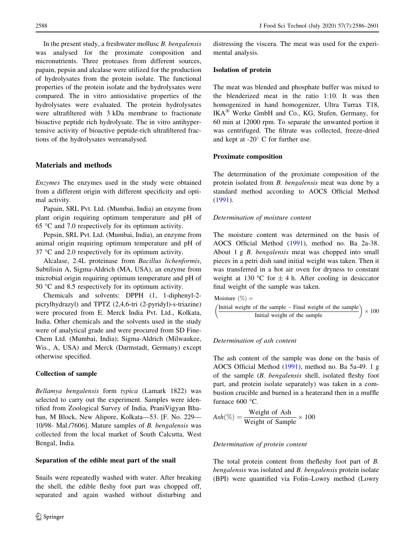In the present study, a freshwater mollusc B. bengalensis was analysed for the proximate composition and micronutrients. Three proteases from different sources, papain, pepsin and alcalase were utilized for the production of hydrolysates from the protein isolate. The functional properties of the protein isolate and the hydrolysates were compared. The in vitro antioxidative properties of the hydrolysates were evaluated. The protein hydrolysates were ultrafiltered with 3 kDa membrane to fractionate bioactive peptide rich hydrolysate. The in vitro antihypertensive activity of bioactive peptide-rich ultrafiltered fractions of the hydrolysates wereanalysed.

## Materials and methods

Enzymes The enzymes used in the study were obtained from a different origin with different specificity and optimal activity.

Papain, SRL Pvt. Ltd. (Mumbai, India) an enzyme from plant origin requiring optimum temperature and pH of 65  $\degree$ C and 7.0 respectively for its optimum activity.

Pepsin, SRL Pvt. Ltd. (Mumbai, India), an enzyme from animal origin requiring optimum temperature and pH of  $37 \text{ °C}$  and 2.0 respectively for its optimum activity.

Alcalase, 2.4L proteinase from Bacillus lichenformis, Subtilisin A, Sigma-Aldrich (MA, USA), an enzyme from microbial origin requiring optimum temperature and pH of 50  $\degree$ C and 8.5 respectively for its optimum activity.

Chemicals and solvents: DPPH (1, 1-diphenyl-2 picrylhydrazyl) and TPTZ (2,4,6-tri (2-pyridyl)-s-triazine) were procured from E. Merck India Pvt. Ltd., Kolkata, India. Other chemicals and the solvents used in the study were of analytical grade and were procured from SD Fine-Chem Ltd. (Mumbai, India); Sigma-Aldrich (Milwaukee, Wis., A, USA) and Merck (Darmstadt, Germany) except otherwise specified.

#### Collection of sample

Bellamya bengalensis form typica (Lamark 1822) was selected to carry out the experiment. Samples were identified from Zoological Survey of India, PraniVigyan Bhaban, M Block, New Alipore, Kolkata—53. [F. No. 229— 10/98- Mal./7606]. Mature samples of B. bengalensis was collected from the local market of South Calcutta, West Bengal, India.

#### Separation of the edible meat part of the snail

Snails were repeatedly washed with water. After breaking the shell, the edible fleshy foot part was chopped off, separated and again washed without disturbing and distressing the viscera. The meat was used for the experimental analysis.

## Isolation of protein

The meat was blended and phosphate buffer was mixed to the blenderized meat in the ratio 1:10. It was then homogenized in hand homogenizer, Ultra Turrax T18, IKA<sup>®</sup> Werke GmbH and Co., KG, Stufen, Germany, for 60 min at 12000 rpm. To separate the unwanted portion it was centrifuged. The filtrate was collected, freeze-dried and kept at  $-20^\circ$  C for further use.

## Proximate composition

The determination of the proximate composition of the protein isolated from B. bengalensis meat was done by a standard method according to AOCS Official Method [\(1991](#page-14-0)).

#### Determination of moisture content

The moisture content was determined on the basis of AOCS Official Method ([1991\)](#page-14-0), method no. Ba 2a-38. About 1 g B. bengalensis meat was chopped into small pieces in a petri dish sand initial weight was taken. Then it was transferred in a hot air oven for dryness to constant weight at 130 °C for  $\pm$  4 h. After cooling in desiccator final weight of the sample was taken.

Moisture  $(\%) =$ 

$$
\left(\frac{\text{Initial weight of the sample} - \text{Final weight of the sample}}{\text{Initial weight of the sample}}\right) \times 100
$$

#### Determination of ash content

The ash content of the sample was done on the basis of AOCS Official Method [\(1991](#page-14-0)), method no. Ba 5a-49. 1 g of the sample (B. bengalensis shell, isolated fleshy foot part, and protein isolate separately) was taken in a combustion crucible and burned in a heaterand then in a muffle furnace 600 °C.

$$
Ash(\%) = \frac{\text{Weight of Ash}}{\text{Weight of Sample}} \times 100
$$

## Determination of protein content

The total protein content from thefleshy foot part of B. bengalensis was isolated and B. bengalensis protein isolate (BPI) were quantified via Folin–Lowry method (Lowry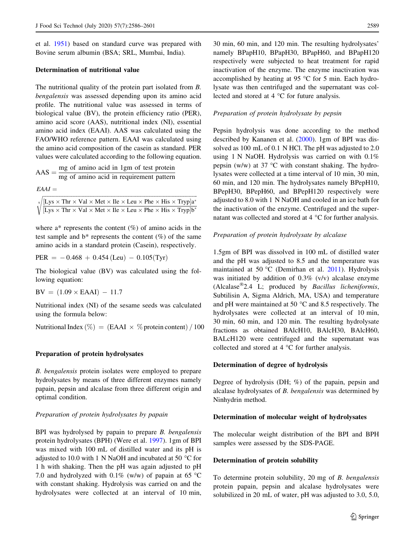et al. [1951](#page-15-0)) based on standard curve was prepared with Bovine serum albumin (BSA; SRL, Mumbai, India).

## Determination of nutritional value

The nutritional quality of the protein part isolated from B. bengalensis was assessed depending upon its amino acid profile. The nutritional value was assessed in terms of biological value (BV), the protein efficiency ratio (PER), amino acid score (AAS), nutritional index (NI), essential amino acid index (EAAI). AAS was calculated using the FAO/WHO reference pattern. EAAI was calculated using the amino acid composition of the casein as standard. PER values were calculated according to the following equation.

$$
AAS = \frac{mg \text{ of amino acid in 1gm of test protein}}{mg \text{ of amino acid in requirement pattern}}
$$

 $EAAI =$ 

 $[Lys \times Thr \times Val \times Met \times Ile \times Leu \times Phe \times His \times Tryp]a^*$  $\sqrt{\frac{[Lys \times Thr \times Val \times Met \times Ile \times Leu \times Phe \times His \times Tryp]a^*}{[Lys \times Thr \times Val \times Met \times Ile \times Leu \times Phe \times His \times Tryp]b^*}}$ 

where  $a^*$  represents the content  $(\%)$  of amino acids in the test sample and  $b^*$  represents the content  $(\%)$  of the same amino acids in a standard protein (Casein), respectively.

$$
PER = -0.468 + 0.454 \, (Leu) - 0.105 \, (Tyr)
$$

The biological value (BV) was calculated using the following equation:

 $BV = (1.09 \times EAAI) - 11.7$ 

Nutritional index (NI) of the sesame seeds was calculated using the formula below:

Nutritional Index  $\left(\% \right) = \left( \text{EAAI} \times \% \text{ protein content} \right) / 100$ 

## Preparation of protein hydrolysates

B. bengalensis protein isolates were employed to prepare hydrolysates by means of three different enzymes namely papain, pepsin and alcalase from three different origin and optimal condition.

## Preparation of protein hydrolysates by papain

BPI was hydrolysed by papain to prepare *B. bengalensis* protein hydrolysates (BPH) (Were et al. [1997\)](#page-15-0). 1gm of BPI was mixed with 100 mL of distilled water and its pH is adjusted to 10.0 with 1 N NaOH and incubated at 50  $^{\circ}$ C for 1 h with shaking. Then the pH was again adjusted to pH 7.0 and hydrolyzed with 0.1% (w/w) of papain at 65  $\degree$ C with constant shaking. Hydrolysis was carried on and the hydrolysates were collected at an interval of 10 min,

30 min, 60 min, and 120 min. The resulting hydrolysates' namely BPapH10, BPapH30, BPapH60, and BPapH120 respectively were subjected to heat treatment for rapid inactivation of the enzyme. The enzyme inactivation was accomplished by heating at 95  $\degree$ C for 5 min. Each hydrolysate was then centrifuged and the supernatant was collected and stored at  $4 \degree C$  for future analysis.

#### Preparation of protein hydrolysate by pepsin

Pepsin hydrolysis was done according to the method described by Kananen et al. [\(2000](#page-14-0)). 1gm of BPI was dissolved as 100 mL of 0.1 N HCl. The pH was adjusted to 2.0 using 1 N NaOH. Hydrolysis was carried on with 0.1% pepsin (w/w) at 37  $\degree$ C with constant shaking. The hydrolysates were collected at a time interval of 10 min, 30 min, 60 min, and 120 min. The hydrolysates namely BPepH10, BPepH30, BPepH60, and BPepH120 respectively were adjusted to 8.0 with 1 N NaOH and cooled in an ice bath for the inactivation of the enzyme. Centrifuged and the supernatant was collected and stored at  $4^{\circ}$ C for further analysis.

## Preparation of protein hydrolysate by alcalase

1.5gm of BPI was dissolved in 100 mL of distilled water and the pH was adjusted to 8.5 and the temperature was maintained at 50 °C (Demirhan et al. [2011](#page-14-0)). Hydrolysis was initiated by addition of 0.3% (v/v) alcalase enzyme (Alcalase 2.4 L; produced by Bacillus licheniformis, Subtilisin A, Sigma Aldrich, MA, USA) and temperature and pH were maintained at 50 $\degree$ C and 8.5 respectively. The hydrolysates were collected at an interval of 10 min, 30 min, 60 min, and 120 min. The resulting hydrolysate fractions as obtained BAlcH10, BAlcH30, BAlcH60, BALcH120 were centrifuged and the supernatant was collected and stored at  $4^{\circ}$ C for further analysis.

## Determination of degree of hydrolysis

Degree of hydrolysis (DH; %) of the papain, pepsin and alcalase hydrolysates of B. bengalensis was determined by Ninhydrin method.

## Determination of molecular weight of hydrolysates

The molecular weight distribution of the BPI and BPH samples were assessed by the SDS-PAGE.

#### Determination of protein solubility

To determine protein solubility, 20 mg of B. bengalensis protein papain, pepsin and alcalase hydrolysates were solubilized in 20 mL of water, pH was adjusted to 3.0, 5.0,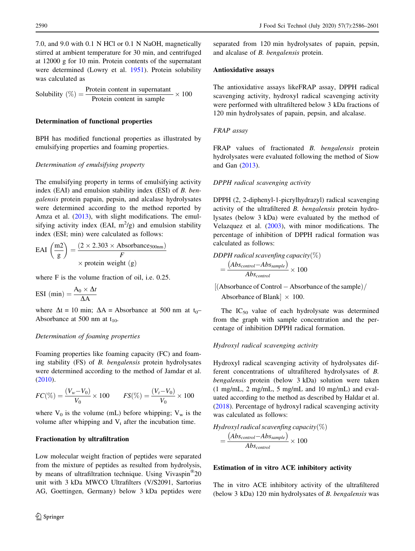7.0, and 9.0 with 0.1 N HCl or 0.1 N NaOH, magnetically stirred at ambient temperature for 30 min, and centrifuged at 12000 g for 10 min. Protein contents of the supernatant were determined (Lowry et al. [1951\)](#page-15-0). Protein solubility was calculated as

Solubility (
$$
\%
$$
) =  $\frac{\text{Protein content in supernatant}}{\text{Protein content in sample}} \times 100$ 

## Determination of functional properties

BPH has modified functional properties as illustrated by emulsifying properties and foaming properties.

#### Determination of emulsifying property

The emulsifying property in terms of emulsifying activity index (EAI) and emulsion stability index (ESI) of B. bengalensis protein papain, pepsin, and alcalase hydrolysates were determined according to the method reported by Amza et al. [\(2013](#page-14-0)), with slight modifications. The emulsifying activity index (EAI,  $m^2/g$ ) and emulsion stability index (ESI; min) were calculated as follows:

$$
EAI\left(\frac{m2}{g}\right) = \frac{(2 \times 2.303 \times \text{Absorbance}_{500nm})}{F}
$$
  
 
$$
\times \text{ protein weight (g)}
$$

where F is the volume fraction of oil, i.e. 0.25.

$$
ESI (min) = \frac{A_0 \times \Delta t}{\Delta A}
$$

where  $\Delta t = 10$  min;  $\Delta A =$  Absorbance at 500 nm at t<sub>0</sub>– Absorbance at 500 nm at  $t_{10}$ .

## Determination of foaming properties

Foaming properties like foaming capacity (FC) and foaming stability (FS) of B. bengalensis protein hydrolysates were determined according to the method of Jamdar et al. [\(2010](#page-14-0)).

$$
FC(\%) = \frac{(V_w - V_0)}{V_0} \times 100 \qquad FS(\%) = \frac{(V_t - V_0)}{V_0} \times 100
$$

where  $V_0$  is the volume (mL) before whipping;  $V_w$  is the volume after whipping and  $V_t$  after the incubation time.

## Fractionation by ultrafiltration

Low molecular weight fraction of peptides were separated from the mixture of peptides as resulted from hydrolysis, by means of ultrafiltration technique. Using Vivaspin<sup>®</sup>20 unit with 3 kDa MWCO Ultrafilters (V/S2091, Sartorius AG, Goettingen, Germany) below 3 kDa peptides were

separated from 120 min hydrolysates of papain, pepsin, and alcalase of B. bengalensis protein.

#### Antioxidative assays

The antioxidative assays likeFRAP assay, DPPH radical scavenging activity, hydroxyl radical scavenging activity were performed with ultrafiltered below 3 kDa fractions of 120 min hydrolysates of papain, pepsin, and alcalase.

#### FRAP assay

FRAP values of fractionated B. bengalensis protein hydrolysates were evaluated following the method of Siow and Gan [\(2013](#page-15-0)).

#### DPPH radical scavenging activity

DPPH (2, 2-diphenyl-1-picrylhydrazyl) radical scavenging activity of the ultrafiltered B. bengalensis protein hydrolysates (below 3 kDa) were evaluated by the method of Velazquez et al. ([2003\)](#page-15-0), with minor modifications. The percentage of inhibition of DPPH radical formation was calculated as follows:

DDPH radical scavenfing capacity $(\%)$ 

$$
=\frac{(Abs_{control} - Abs_{sample})}{Abs_{control}} \times 100
$$

 $[(\text{Absorbane of Control} - \text{Absorbane of the sample})/$ 

Absorbance of Blank  $\vert \times 100$ .

The  $IC_{50}$  value of each hydrolysate was determined from the graph with sample concentration and the percentage of inhibition DPPH radical formation.

## Hydroxyl radical scavenging activity

Hydroxyl radical scavenging activity of hydrolysates different concentrations of ultrafiltered hydrolysates of B. bengalensis protein (below 3 kDa) solution were taken (1 mg/mL, 2 mg/mL, 5 mg/mL and 10 mg/mL) and evaluated according to the method as described by Haldar et al. [\(2018](#page-14-0)). Percentage of hydroxyl radical scavenging activity was calculated as follows:

Hydroxyl radical scavenfing capacity $(\%)$  $=\frac{(Abs_{control}-Abs_{sample})}{\Delta l}$  $\frac{1100 \text{ Ssample}}{Abs_{control}} \times 100$ 

## Estimation of in vitro ACE inhibitory activity

The in vitro ACE inhibitory activity of the ultrafiltered (below 3 kDa) 120 min hydrolysates of B. bengalensis was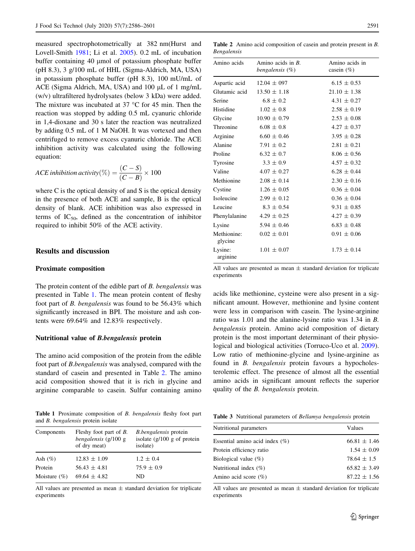<span id="page-5-0"></span>measured spectrophotometrically at 382 nm(Hurst and Lovell-Smith [1981](#page-14-0); Li et al. [2005\)](#page-15-0). 0.2 mL of incubation buffer containing 40  $\mu$ mol of potassium phosphate buffer (pH 8.3), 3 g/100 mL of HHL (Sigma-Aldrich, MA, USA) in potassium phosphate buffer (pH 8.3), 100 mU/mL of ACE (Sigma Aldrich, MA, USA) and  $100 \mu L$  of 1 mg/mL (w/v) ultrafiltered hydrolysates (below 3 kDa) were added. The mixture was incubated at  $37^{\circ}$ C for 45 min. Then the reaction was stopped by adding 0.5 mL cyanuric chloride in 1,4-dioxane and 30 s later the reaction was neutralized by adding 0.5 mL of 1 M NaOH. It was vortexed and then centrifuged to remove excess cyanuric chloride. The ACE inhibition activity was calculated using the following equation:

$$
ACE inhibition activity (\%) = \frac{(C - S)}{(C - B)} \times 100
$$

where C is the optical density of and S is the optical density in the presence of both ACE and sample, B is the optical density of blank. ACE inhibition was also expressed in terms of  $IC_{50}$ , defined as the concentration of inhibitor required to inhibit 50% of the ACE activity.

#### Results and discussion

#### Proximate composition

The protein content of the edible part of B. bengalensis was presented in Table 1. The mean protein content of fleshy foot part of B. bengalensis was found to be 56.43% which significantly increased in BPI. The moisture and ash contents were 69.64% and 12.83% respectively.

#### Nutritional value of B.bengalensis protein

The amino acid composition of the protein from the edible foot part of B.bengalensis was analysed, compared with the standard of casein and presented in Table 2. The amino acid composition showed that it is rich in glycine and arginine comparable to casein. Sulfur containing amino

Table 1 Proximate composition of B. bengalensis fleshy foot part and B. bengalensis protein isolate

| Components       | Fleshy foot part of <i>B</i> .<br>bengalensis $(g/100 g)$<br>of dry meat) | <i>B.bengalensis</i> protein<br>isolate $(g/100 g$ of protein<br>isolate) |
|------------------|---------------------------------------------------------------------------|---------------------------------------------------------------------------|
| Ash $(\%)$       | $12.83 \pm 1.09$                                                          | $1.2 \pm 0.4$                                                             |
| Protein          | $.56.43 \pm 4.81$                                                         | $75.9 \pm 0.9$                                                            |
| Moisture $(\% )$ | $69.64 \pm 4.82$                                                          | ND                                                                        |

All values are presented as mean  $\pm$  standard deviation for triplicate experiments

Table 2 Amino acid composition of casein and protein present in B. Bengalensis

| Amino acids            | Amino acids in $B$ .<br>bengalensis $(\%)$ | Amino acids in<br>casein $(\% )$ |
|------------------------|--------------------------------------------|----------------------------------|
| Aspartic acid          | $12.04 \pm 097$                            | $6.15 \pm 0.53$                  |
| Glutamic acid          | $13.50 \pm 1.18$                           | $21.10 \pm 1.38$                 |
| Serine                 | $6.8 \pm 0.2$                              | $4.31 \pm 0.27$                  |
| Histidine              | $1.02 \pm 0.8$                             | $2.58 \pm 0.19$                  |
| Glycine                | $10.90 \pm 0.79$                           | $2.53 \pm 0.08$                  |
| Threonine              | $6.08 \pm 0.8$                             | $4.27 \pm 0.37$                  |
| Arginine               | $6.60 \pm 0.46$                            | $3.95 \pm 0.28$                  |
| Alanine                | $7.91 \pm 0.2$                             | $2.81 \pm 0.21$                  |
| Proline                | $6.32 \pm 0.7$                             | $8.06 \pm 0.56$                  |
| Tyrosine               | $3.3 \pm 0.9$                              | $4.57 \pm 0.32$                  |
| Valine                 | $4.07 \pm 0.27$                            | $6.28 \pm 0.44$                  |
| Methionine             | $2.08 \pm 0.14$                            | $2.30 \pm 0.16$                  |
| Cystine                | $1.26 \pm 0.05$                            | $0.36 \pm 0.04$                  |
| Isoleucine             | $2.99 \pm 0.12$                            | $0.36 \pm 0.04$                  |
| Leucine                | $8.3 \pm 0.54$                             | $9.31 \pm 0.85$                  |
| Phenylalanine          | $4.29 \pm 0.25$                            | $4.27 \pm 0.39$                  |
| Lysine                 | $5.94 \pm 0.46$                            | $6.83 \pm 0.48$                  |
| Methionine:<br>glycine | $0.02 \pm 0.01$                            | $0.91 \pm 0.06$                  |
| Lysine:<br>arginine    | $1.01 \pm 0.07$                            | $1.73 \pm 0.14$                  |

All values are presented as mean  $\pm$  standard deviation for triplicate experiments

acids like methionine, cysteine were also present in a significant amount. However, methionine and lysine content were less in comparison with casein. The lysine-arginine ratio was 1.01 and the alanine-lysine ratio was 1.34 in B. bengalensis protein. Amino acid composition of dietary protein is the most important determinant of their physiological and biological activities (Torruco-Uco et al. [2009](#page-15-0)). Low ratio of methionine-glycine and lysine-arginine as found in B. bengalensis protein favours a hypocholesterolemic effect. The presence of almost all the essential amino acids in significant amount reflects the superior quality of the B. bengalensis protein.

Table 3 Nutritional parameters of Bellamya bengalensis protein

| Nutritional parameters            | Values           |  |
|-----------------------------------|------------------|--|
| Essential amino acid index $(\%)$ | $66.81 \pm 1.46$ |  |
| Protein efficiency ratio          | $1.54 \pm 0.09$  |  |
| Biological value $(\%)$           | $78.64 \pm 1.5$  |  |
| Nutritional index $(\% )$         | $65.82 \pm 3.49$ |  |
| Amino acid score $(\%)$           | $87.22 \pm 1.56$ |  |
|                                   |                  |  |

All values are presented as mean  $\pm$  standard deviation for triplicate experiments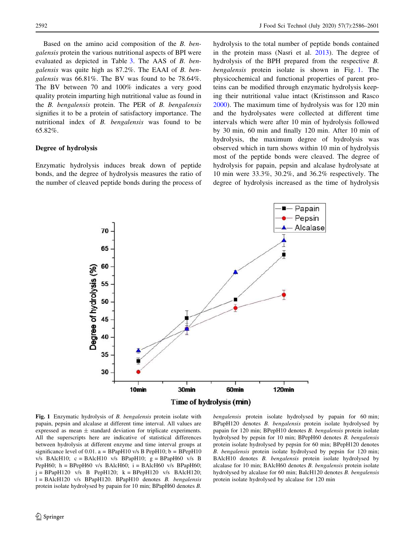Based on the amino acid composition of the B. bengalensis protein the various nutritional aspects of BPI were evaluated as depicted in Table [3](#page-5-0). The AAS of B. bengalensis was quite high as 87.2%. The EAAI of B. bengalensis was 66.81%. The BV was found to be 78.64%. The BV between 70 and 100% indicates a very good quality protein imparting high nutritional value as found in the B. bengalensis protein. The PER of B. bengalensis signifies it to be a protein of satisfactory importance. The nutritional index of B. bengalensis was found to be 65.82%.

## Degree of hydrolysis

Enzymatic hydrolysis induces break down of peptide bonds, and the degree of hydrolysis measures the ratio of the number of cleaved peptide bonds during the process of hydrolysis to the total number of peptide bonds contained in the protein mass (Nasri et al. [2013](#page-15-0)). The degree of hydrolysis of the BPH prepared from the respective B. bengalensis protein isolate is shown in Fig. 1. The physicochemical and functional properties of parent proteins can be modified through enzymatic hydrolysis keeping their nutritional value intact (Kristinsson and Rasco [2000](#page-14-0)). The maximum time of hydrolysis was for 120 min and the hydrolysates were collected at different time intervals which were after 10 min of hydrolysis followed by 30 min, 60 min and finally 120 min. After 10 min of hydrolysis, the maximum degree of hydrolysis was observed which in turn shows within 10 min of hydrolysis most of the peptide bonds were cleaved. The degree of hydrolysis for papain, pepsin and alcalase hydrolysate at 10 min were 33.3%, 30.2%, and 36.2% respectively. The degree of hydrolysis increased as the time of hydrolysis





Fig. 1 Enzymatic hydrolysis of B. bengalensis protein isolate with papain, pepsin and alcalase at different time interval. All values are expressed as mean  $\pm$  standard deviation for triplicate experiments. All the superscripts here are indicative of statistical differences between hydrolysis at different enzyme and time interval groups at significance level of 0.01.  $a = BPapH10 v/sB PepH10$ ;  $b = BPepH10$ v/s BAlcH10;  $c = BA$ lcH10 v/s BPapH10;  $g = BP$ apH60 v/s B PepH60;  $h = B$ PepH60 v/s BAlcH60;  $i = B$ AlcH60 v/s BPapH60;  $j = BPapH120$  v/s B PepH120;  $k = BPepH120$  v/s BAlcH120;  $l = BAclH120$  v/s  $BPapH120$ .  $BPapH10$  denotes *B*. *bengalensis* protein isolate hydrolysed by papain for 10 min; BPapH60 denotes B.

bengalensis protein isolate hydrolysed by papain for 60 min; BPapH120 denotes B. bengalensis protein isolate hydrolysed by papain for 120 min; BPepH10 denotes B. bengalensis protein isolate hydrolysed by pepsin for 10 min; BPepH60 denotes B. bengalensis protein isolate hydrolysed by pepsin for 60 min; BPepH120 denotes B. bengalensis protein isolate hydrolysed by pepsin for 120 min; BAlcH10 denotes B. bengalensis protein isolate hydrolysed by alcalase for 10 min; BAlcH60 denotes B. bengalensis protein isolate hydrolysed by alcalase for 60 min; BalcH120 denotes B. bengalensis protein isolate hydrolysed by alcalase for 120 min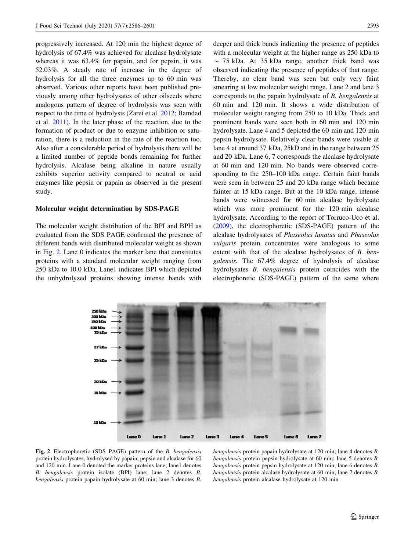progressively increased. At 120 min the highest degree of hydrolysis of 67.4% was achieved for alcalase hydrolysate whereas it was 63.4% for papain, and for pepsin, it was 52.03%. A steady rate of increase in the degree of hydrolysis for all the three enzymes up to 60 min was observed. Various other reports have been published previously among other hydrolysates of other oilseeds where analogous pattern of degree of hydrolysis was seen with respect to the time of hydrolysis (Zarei et al. [2012;](#page-15-0) Bamdad et al. [2011](#page-14-0)). In the later phase of the reaction, due to the formation of product or due to enzyme inhibition or saturation, there is a reduction in the rate of the reaction too. Also after a considerable period of hydrolysis there will be a limited number of peptide bonds remaining for further hydrolysis. Alcalase being alkaline in nature usually exhibits superior activity compared to neutral or acid enzymes like pepsin or papain as observed in the present study.

#### Molecular weight determination by SDS-PAGE

The molecular weight distribution of the BPI and BPH as evaluated from the SDS PAGE confirmed the presence of different bands with distributed molecular weight as shown in Fig. 2. Lane 0 indicates the marker lane that constitutes proteins with a standard molecular weight ranging from 250 kDa to 10.0 kDa. Lane1 indicates BPI which depicted the unhydrolyzed proteins showing intense bands with deeper and thick bands indicating the presence of peptides with a molecular weight at the higher range as 250 kDa to  $\sim$  75 kDa. At 35 kDa range, another thick band was observed indicating the presence of peptides of that range. Thereby, no clear band was seen but only very faint smearing at low molecular weight range. Lane 2 and lane 3 corresponds to the papain hydrolysate of B. bengalensis at 60 min and 120 min. It shows a wide distribution of molecular weight ranging from 250 to 10 kDa. Thick and prominent bands were seen both in 60 min and 120 min hydrolysate. Lane 4 and 5 depicted the 60 min and 120 min pepsin hydrolysate. Relatively clear bands were visible at lane 4 at around 37 kDa, 25kD and in the range between 25 and 20 kDa. Lane 6, 7 corresponds the alcalase hydrolysate at 60 min and 120 min. No bands were observed corresponding to the 250–100 kDa range. Certain faint bands were seen in between 25 and 20 kDa range which became fainter at 15 kDa range. But at the 10 kDa range, intense bands were witnessed for 60 min alcalase hydrolysate which was more prominent for the 120 min alcalase hydrolysate. According to the report of Torruco-Uco et al. [\(2009](#page-15-0)), the electrophoretic (SDS-PAGE) pattern of the alcalase hydrolysates of Phaseolus lunatus and Phaseolus vulgaris protein concentrates were analogous to some extent with that of the alcalase hydrolysates of B. bengalensis. The 67.4% degree of hydrolysis of alcalase hydrolysates B. bengalensis protein coincides with the electrophoretic (SDS-PAGE) pattern of the same where



Fig. 2 Electrophoretic (SDS–PAGE) pattern of the B. bengalensis protein hydrolysates, hydrolysed by papain, pepsin and alcalase for 60 and 120 min. Lane 0 denoted the marker proteins lane; lane1 denotes B. bengalensis protein isolate (BPI) lane; lane 2 denotes B. bengalensis protein papain hydrolysate at 60 min; lane 3 denotes B.

bengalensis protein papain hydrolysate at 120 min; lane 4 denotes B. bengalensis protein pepsin hydrolysate at 60 min; lane 5 denotes B. bengalensis protein pepsin hydrolysate at 120 min; lane 6 denotes B. bengalensis protein alcalase hydrolysate at 60 min; lane 7 denotes B. bengalensis protein alcalase hydrolysate at 120 min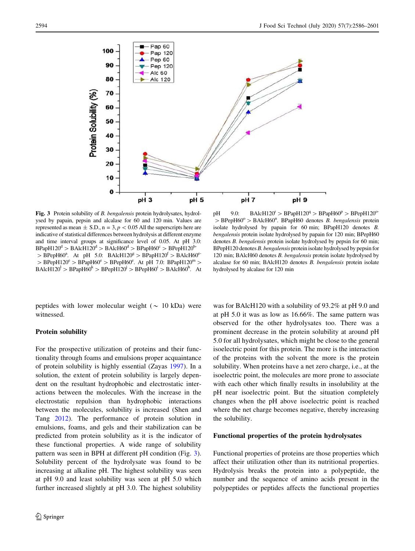

Fig. 3 Protein solubility of B. bengalensis protein hydrolysates, hydrolysed by papain, pepsin and alcalase for 60 and 120 min. Values are represented as mean  $\pm$  S.D., n = 3, p < 0.05 All the superscripts here are indicative of statistical differences between hydrolysis at different enzyme and time interval groups at significance level of 0.05. At pH 3.0:  $BPapH120^d$  >  $BAlcH120^d$  >  $BAlcH60^d$  >  $BPapH60^c$  >  $BPepH120^b$ - $>$  BPepH60<sup>a</sup>. At pH 5.0: BAlcH120<sup>g</sup>  $>$  BPapH120<sup>f</sup>  $>$  BAlcH60<sup>e</sup>  $>$  BPepH120<sup>e</sup>  $>$  BPapH60<sup>e</sup>  $>$  BPepH60<sup>e</sup>. At pH 7.0: BPapH120<sup>m</sup>  $>$  $BAlcH120<sup>l</sup> > BPapH60<sup>k</sup> > BPepH120<sup>j</sup> > BPepH60<sup>i</sup> > BAlcH60<sup>h</sup>$ . At

peptides with lower molecular weight ( $\sim 10$  kDa) were witnessed.

#### Protein solubility

For the prospective utilization of proteins and their functionality through foams and emulsions proper acquaintance of protein solubility is highly essential (Zayas [1997\)](#page-15-0). In a solution, the extent of protein solubility is largely dependent on the resultant hydrophobic and electrostatic interactions between the molecules. With the increase in the electrostatic repulsion than hydrophobic interactions between the molecules, solubility is increased (Shen and Tang [2012\)](#page-15-0). The performance of protein solution in emulsions, foams, and gels and their stabilization can be predicted from protein solubility as it is the indicator of these functional properties. A wide range of solubility pattern was seen in BPH at different pH condition (Fig. 3). Solubility percent of the hydrolysate was found to be increasing at alkaline pH. The highest solubility was seen at pH 9.0 and least solubility was seen at pH 5.0 which further increased slightly at pH 3.0. The highest solubility

pH 9.0: BAlcH120<sup>r</sup> > BPapH120<sup>q</sup> > BPapH60<sup>p</sup> > BPepH120<sup>o-</sup>  $>$  BPepH60<sup>o</sup>  $>$  BAlcH60<sup>n</sup>. BPapH60 denotes *B. bengalensis* protein isolate hydrolysed by papain for 60 min; BPapH120 denotes B. bengalensis protein isolate hydrolysed by papain for 120 min; BPepH60 denotes B. bengalensis protein isolate hydrolysed by pepsin for 60 min; BPepH120 denotes B. bengalensis protein isolate hydrolysed by pepsin for 120 min; BAlcH60 denotes B. bengalensis protein isolate hydrolysed by alcalase for 60 min; BAlcH120 denotes B. bengalensis protein isolate hydrolysed by alcalase for 120 min

was for BAlcH120 with a solubility of 93.2% at pH 9.0 and at pH 5.0 it was as low as 16.66%. The same pattern was observed for the other hydrolysates too. There was a prominent decrease in the protein solubility at around pH 5.0 for all hydrolysates, which might be close to the general isoelectric point for this protein. The more is the interaction of the proteins with the solvent the more is the protein solubility. When proteins have a net zero charge, i.e., at the isoelectric point, the molecules are more prone to associate with each other which finally results in insolubility at the pH near isoelectric point. But the situation completely changes when the pH above isoelectric point is reached where the net charge becomes negative, thereby increasing the solubility.

## Functional properties of the protein hydrolysates

Functional properties of proteins are those properties which affect their utilization other than its nutritional properties. Hydrolysis breaks the protein into a polypeptide, the number and the sequence of amino acids present in the polypeptides or peptides affects the functional properties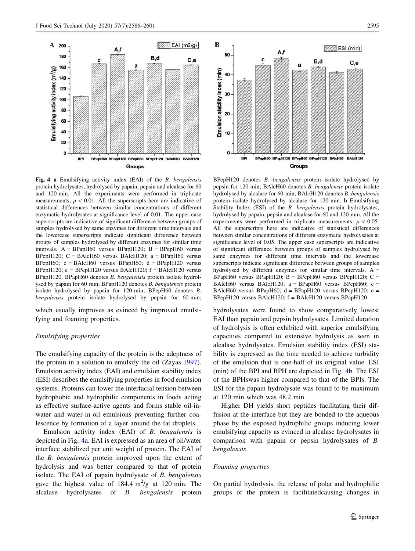

Fig. 4 a Emulsifying activity index (EAI) of the B. bengalensis protein hydrolysates, hydrolysed by papain, pepsin and alcalase for 60 and 120 min. All the experiments were performed in triplicate measurements,  $p < 0.01$ . All the superscripts here are indicative of statistical differences between similar concentrations of different enzymatic hydrolysates at significance level of 0.01. The upper case superscripts are indicative of significant difference between groups of samples hydrolysed by same enzymes for different time intervals and the lowercase superscripts indicate significant difference between groups of samples hydrolysed by different enzymes for similar time intervals. A = BPapH60 versus BPapH120; B = BPepH60 versus BPepH120; C = BAlcH60 versus BAlcH120; a = BPapH60 versus BPepH60;  $c = BAlcH60$  versus BPapH60;  $d = BPapH120$  versus BPepH120;  $e = BPepH120$  versus BAlcH120;  $f = BAlcH120$  versus BPapH120. BPapH60 denotes B. bengalensis protein isolate hydrolysed by papain for 60 min; BPapH120 denotes B. bengalensis protein isolate hydrolysed by papain for 120 min; BPepH60 denotes B. bengalensis protein isolate hydrolysed by pepsin for 60 min;

which usually improves as evinced by improved emulsifying and foaming properties.

#### Emulsifying properties

The emulsifying capacity of the protein is the adeptness of the protein in a solution to emulsify the oil (Zayas [1997](#page-15-0)). Emulsion activity index (EAI) and emulsion stability index (ESI) describes the emulsifying properties in food emulsion systems. Proteins can lower the interfacial tension between hydrophobic and hydrophilic components in foods acting as effective surface-active agents and forms stable oil-inwater and water-in-oil emulsions preventing further coalescence by formation of a layer around the fat droplets.

Emulsion activity index (EAI) of B. bengalensis is depicted in Fig. 4a. EAI is expressed as an area of oil/water interface stabilized per unit weight of protein. The EAI of the B. bengalensis protein improved upon the extent of hydrolysis and was better compared to that of protein isolate. The EAI of papain hydrolysate of B. bengalensis gave the highest value of  $184.4 \text{ m}^2/\text{g}$  at 120 min. The alcalase hydrolysates of B. bengalensis protein



BPepH120 denotes B. bengalensis protein isolate hydrolysed by pepsin for 120 min; BAlcH60 denotes B. bengalensis protein isolate hydrolysed by alcalase for 60 min; BAlcH120 denotes B. bengalensis protein isolate hydrolysed by alcalase for 120 min. b Emulsifying Stability Index (ESI) of the *B. bengalensis* protein hydrolysates, hydrolysed by papain, pepsin and alcalase for 60 and 120 min. All the experiments were performed in triplicate measurements,  $p < 0.05$ . All the superscripts here are indicative of statistical differences between similar concentrations of different enzymatic hydrolysates at significance level of 0.05. The upper case superscripts are indicative of significant difference between groups of samples hydrolysed by same enzymes for different time intervals and the lowercase superscripts indicate significant difference between groups of samples hydrolysed by different enzymes for similar time intervals.  $A =$ BPapH60 versus BPapH120; B = BPepH60 versus BPepH120; C = BAlcH60 versus BAlcH120;  $a = BPapH60$  versus BPepH60;  $c =$ BAlcH60 versus BPapH60;  $d = BPapH120$  versus BPepH120;  $e =$ BPepH120 versus BAlcH120;  $f = BA l cH120$  versus BPapH120

hydrolysates were found to show comparatively lowest EAI than papain and pepsin hydrolysates. Limited duration of hydrolysis is often exhibited with superior emulsifying capacities compared to extensive hydrolysis as seen in alcalase hydrolysates. Emulsion stability index (ESI) stability is expressed as the time needed to achieve turbidity of the emulsion that is one-half of its original value. ESI (min) of the BPI and BPH are depicted in Fig. 4b. The ESI of the BPHswas higher compared to that of the BPIs. The ESI for the papain hydrolysate was found to be maximum at 120 min which was 48.2 min.

Higher DH yields short peptides facilitating their diffusion at the interface but they are bonded to the aqueous phase by the exposed hydrophilic groups inducing lower emulsifying capacity as evinced in alcalase hydrolysates in comparison with papain or pepsin hydrolysates of B. bengalensis.

## Foaming properties

On partial hydrolysis, the release of polar and hydrophilic groups of the protein is facilitatedcausing changes in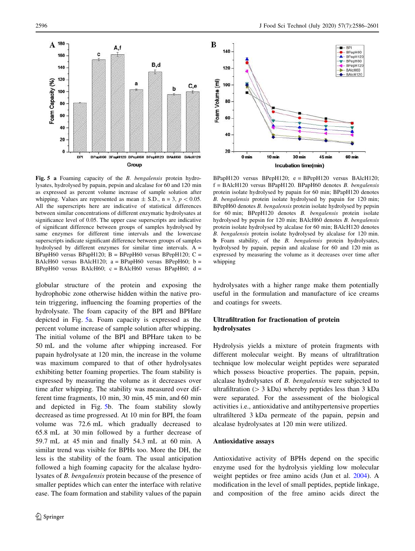BPI<br>BPapH60<br>A-BPapH120<br>V-BPepH60

-BPepH120

BAIcH60  $-BA$ cH<sub>120</sub>

 $60<sub>mi</sub>$ 



Fig. 5 a Foaming capacity of the B. bengalensis protein hydrolysates, hydrolysed by papain, pepsin and alcalase for 60 and 120 min as expressed as percent volume increase of sample solution after whipping. Values are represented as mean  $\pm$  S.D., n = 3, p < 0.05. All the superscripts here are indicative of statistical differences between similar concentrations of different enzymatic hydrolysates at significance level of 0.05. The upper case superscripts are indicative of significant difference between groups of samples hydrolysed by same enzymes for different time intervals and the lowercase superscripts indicate significant difference between groups of samples hydrolysed by different enzymes for similar time intervals.  $A =$ BPapH60 versus BPapH120; B = BPepH60 versus BPepH120; C = BAlcH60 versus BAlcH120;  $a = BPapH60$  versus BPepH60;  $b =$ BPepH60 versus BAlcH60;  $c = BAlcH60$  versus BPapH60;  $d =$ 

globular structure of the protein and exposing the hydrophobic zone otherwise hidden within the native protein triggering, influencing the foaming properties of the hydrolysate. The foam capacity of the BPI and BPHare depicted in Fig. 5a. Foam capacity is expressed as the percent volume increase of sample solution after whipping. The initial volume of the BPI and BPHare taken to be 50 mL and the volume after whipping increased. For papain hydrolysate at 120 min, the increase in the volume was maximum compared to that of other hydrolysates exhibiting better foaming properties. The foam stability is expressed by measuring the volume as it decreases over time after whipping. The stability was measured over different time fragments, 10 min, 30 min, 45 min, and 60 min and depicted in Fig. 5b. The foam stability slowly decreased as time progressed. At 10 min for BPI, the foam volume was 72.6 mL which gradually decreased to 65.8 mL at 30 min followed by a further decrease of 59.7 mL at 45 min and finally 54.3 mL at 60 min. A similar trend was visible for BPHs too. More the DH, the less is the stability of the foam. The usual anticipation followed a high foaming capacity for the alcalase hydrolysates of B. bengalensis protein because of the presence of smaller peptides which can enter the interface with relative ease. The foam formation and stability values of the papain

Incubation time(min)  $BPapH120$  versus  $BPepH120$ ;  $e = BPepH120$  versus  $BA1cH120$ ;  $f = BAlcH120$  versus BPapH120. BPapH60 denotes B. bengalensis protein isolate hydrolysed by papain for 60 min; BPapH120 denotes B. bengalensis protein isolate hydrolysed by papain for 120 min; BPepH60 denotes B. bengalensis protein isolate hydrolysed by pepsin for 60 min; BPepH120 denotes B. bengalensis protein isolate hydrolysed by pepsin for 120 min; BAlcH60 denotes B. bengalensis protein isolate hydrolysed by alcalase for 60 min; BAlcH120 denotes B. bengalensis protein isolate hydrolysed by alcalase for 120 min. b Foam stability, of the B. bengalensis protein hydrolysates, hydrolysed by papain, pepsin and alcalase for 60 and 120 min as expressed by measuring the volume as it decreases over time after whipping

30 min

45 min

hydrolysates with a higher range make them potentially useful in the formulation and manufacture of ice creams and coatings for sweets.

## Ultrafiltration for fractionation of protein hydrolysates

Hydrolysis yields a mixture of protein fragments with different molecular weight. By means of ultrafiltration technique low molecular weight peptides were separated which possess bioactive properties. The papain, pepsin, alcalase hydrolysates of B. bengalensis were subjected to ultrafiltration ( $> 3$  kDa) whereby peptides less than 3 kDa were separated. For the assessment of the biological activities i.e., antioxidative and antihypertensive properties ultrafiltered 3 kDa permeate of the papain, pepsin and alcalase hydrolysates at 120 min were utilized.

## Antioxidative assays

140

120

100

80

60

40

20

 $0 \text{ min}$ 

 $10<sub>min</sub>$ 

Foam Volume (ml)

Antioxidative activity of BPHs depend on the specific enzyme used for the hydrolysis yielding low molecular weight peptides or free amino acids (Jun et al. [2004](#page-14-0)). A modification in the level of small peptides, peptide linkage, and composition of the free amino acids direct the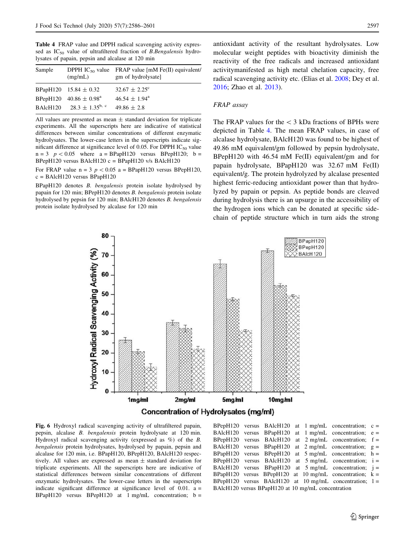<span id="page-11-0"></span>Table 4 FRAP value and DPPH radical scavenging activity expressed as  $IC_{50}$  value of ultrafiltered fraction of *B.Bengalensis* hydrolysates of papain, pepsin and alcalase at 120 min

| Sample               | (mg/mL)                              | DPPH IC <sub>50</sub> value FRAP value [mM Fe(II) equivalent/<br>gm of hydrolysate] |
|----------------------|--------------------------------------|-------------------------------------------------------------------------------------|
|                      | BPapH120 $15.84 \pm 0.32$            | $32.67 \pm 2.25^{\circ}$                                                            |
|                      | BPepH120 $40.86 \pm 0.98^{\text{a}}$ | $46.54 \pm 1.94^{\circ}$                                                            |
| BAlcH <sub>120</sub> | $28.3 \pm 1.35^{b}$ , c              | $49.86 \pm 2.8$                                                                     |

All values are presented as mean  $\pm$  standard deviation for triplicate experiments. All the superscripts here are indicative of statistical differences between similar concentrations of different enzymatic hydrolysates. The lower-case letters in the superscripts indicate significant difference at significance level of 0.05. For DPPH  $IC_{50}$  value  $n=3$   $p < 0.05$  where  $a = BPa$ pH120 versus BPepH120; b = BPepH120 versus BAlcH120  $c = BP$ apH120 v/s BAlcH120

For FRAP value  $n = 3$   $p < 0.05$  a = BPapH120 versus BPepH120, c = BAlcH120 versus BPapH120

BPapH120 denotes B. bengalensis protein isolate hydrolysed by papain for 120 min; BPepH120 denotes B. bengalensis protein isolate hydrolysed by pepsin for 120 min; BAlcH120 denotes B. bengalensis protein isolate hydrolysed by alcalase for 120 min

antioxidant activity of the resultant hydrolysates. Low molecular weight peptides with bioactivity diminish the reactivity of the free radicals and increased antioxidant activitymanifested as high metal chelation capacity, free radical scavenging activity etc. (Elias et al. [2008](#page-14-0); Dey et al. [2016](#page-14-0); Zhao et al. [2013\)](#page-15-0).

#### FRAP assay

The FRAP values for the  $\lt$  3 kDa fractions of BPHs were depicted in Table 4. The mean FRAP values, in case of alcalase hydrolysate, BAlcH120 was found to be highest of 49.86 mM equivalent/gm followed by pepsin hydrolysate, BPepH120 with 46.54 mM Fe(II) equivalent/gm and for papain hydrolysate, BPapH120 was 32.67 mM Fe(II) equivalent/g. The protein hydrolyzed by alcalase presented highest ferric-reducing antioxidant power than that hydrolyzed by papain or pepsin. As peptide bonds are cleaved during hydrolysis there is an upsurge in the accessibility of the hydrogen ions which can be donated at specific sidechain of peptide structure which in turn aids the strong



Fig. 6 Hydroxyl radical scavenging activity of ultrafiltered papain, pepsin, alcalase B. bengalensis protein hydrolysate at 120 min. Hydroxyl radical scavenging activity (expressed as %) of the B. bengalensis protein hydrolysates, hydrolysed by papain, pepsin and alcalase for 120 min, i.e. BPapH120, BPepH120, BAlcH120 respectively. All values are expressed as mean  $\pm$  standard deviation for triplicate experiments. All the superscripts here are indicative of statistical differences between similar concentrations of different enzymatic hydrolysates. The lower-case letters in the superscripts indicate significant difference at significance level of  $0.01$ . a = BPapH120 versus BPepH120 at  $1$  mg/mL concentration;  $b =$ 

BPepH120 versus BAlcH120 at  $1$  mg/mL concentration;  $c =$ BAlcH120 versus BPapH120 at 1 mg/mL concentration; e = BPepH120 versus BAlcH120 at 2 mg/mL concentration; f = BAlcH120 versus BPapH120 at 2 mg/mL concentration; g = BAlcH120 versus BPapH120 at 2 mg/mL concentration; g =  $BPapH120$  versus  $BPepH120$  at  $5$  mg/mL concentration; h = BPepH120 versus BAlcH120 at 5 mg/mL concentration; i = BAlcH120 versus BPapH120 at 5 mg/mL concentration; j = BPapH120 versus BPepH120 at 10 mg/mL concentration;  $k =$ BPepH120 versus BAlcH120 at 10 mg/mL concentration; l = BAlcH120 versus BPapH120 at 10 mg/mL concentration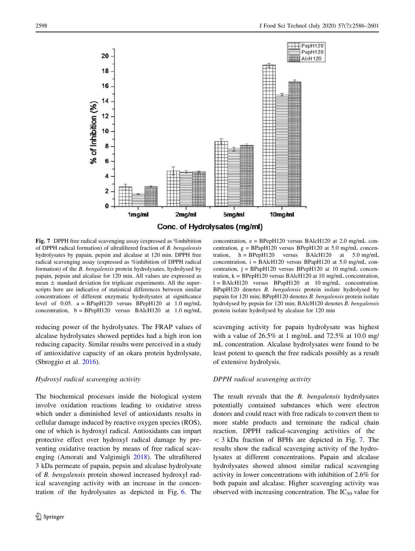

Fig. 7 DPPH free radical scavenging assay (expressed as %inhibition of DPPH radical formation) of ultrafiltered fraction of B. bengalensis hydrolysates by papain, pepsin and alcalase at 120 min. DPPH free radical scavenging assay (expressed as %inhibition of DPPH radical formation) of the B. bengalensis protein hydrolysates, hydrolysed by papain, pepsin and alcalase for 120 min. All values are expressed as mean  $\pm$  standard deviation for triplicate experiments. All the superscripts here are indicative of statistical differences between similar concentrations of different enzymatic hydrolysates at significance level of 0.05.  $a = BPapH120$  versus  $BPepH120$  at 1.0 mg/mL concentration,  $b = B$ PepH120 versus BAlcH120 at 1.0 mg/mL

reducing power of the hydrolysates. The FRAP values of alcalase hydrolysates showed peptides had a high iron ion reducing capacity. Similar results were perceived in a study of antioxidative capacity of an okara protein hydrolysate, (Sbroggio et al. [2016\)](#page-15-0).

## Hydroxyl radical scavenging activity

The biochemical processes inside the biological system involve oxidation reactions leading to oxidative stress which under a diminished level of antioxidants results in cellular damage induced by reactive oxygen species (ROS), one of which is hydroxyl radical. Antioxidants can impart protective effect over hydroxyl radical damage by preventing oxidative reaction by means of free radical scavenging (Amorati and Valgimigli [2018\)](#page-14-0). The ultrafiltered 3 kDa permeate of papain, pepsin and alcalase hydrolysate of B. bengalensis protein showed increased hydroxyl radical scavenging activity with an increase in the concentration of the hydrolysates as depicted in Fig. [6.](#page-11-0) The

concentration,  $e = BPepH120$  versus BAlcH120 at 2.0 mg/mL concentration,  $g = BPapH120$  versus  $BPepH120$  at 5.0 mg/mL concentration,  $h = BPepH120$  versus  $BA1cH120$  at  $5.0$  mg/mL concentration,  $i = BAlcH120$  versus BPapH120 at 5.0 mg/mL concentration, j = BPapH120 versus BPepH120 at 10 mg/mL concentration,  $k = B$ PepH120 versus BAlcH120 at 10 mg/mL concentration,  $l = BAlcH120$  versus BPapH120 at 10 mg/mL concentration. BPapH120 denotes B. bengalensis protein isolate hydrolysed by papain for 120 min; BPepH120 denotes B. bengalensis protein isolate hydrolysed by pepsin for 120 min; BAlcH120 denotes B. bengalensis protein isolate hydrolysed by alcalase for 120 min

scavenging activity for papain hydrolysate was highest with a value of  $26.5\%$  at 1 mg/mL and  $72.5\%$  at 10.0 mg/ mL concentration. Alcalase hydrolysates were found to be least potent to quench the free radicals possibly as a result of extensive hydrolysis.

#### DPPH radical scavenging activity

The result reveals that the *B. bengalensis* hydrolysates potentially contained substances which were electron donors and could react with free radicals to convert them to more stable products and terminate the radical chain reaction. DPPH radical-scavenging activities of the  $<$  3 kDa fraction of BPHs are depicted in Fig. 7. The results show the radical scavenging activity of the hydrolysates at different concentrations. Papain and alcalase hydrolysates showed almost similar radical scavenging activity in lower concentrations with inhibition of 2.6% for both papain and alcalase. Higher scavenging activity was observed with increasing concentration. The  $IC_{50}$  value for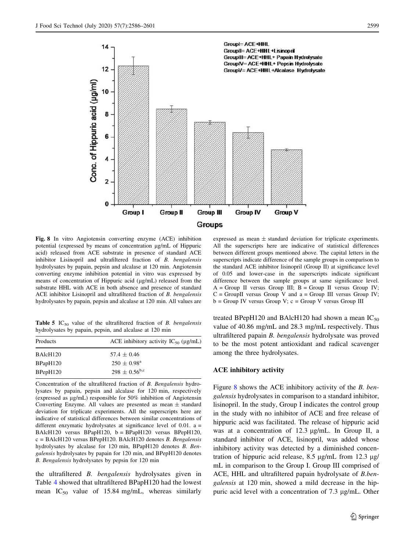<span id="page-13-0"></span>

Fig. 8 In vitro Angiotensin converting enzyme (ACE) inhibition potential (expressed by means of concentration lg/mL of Hippuric acid) released from ACE substrate in presence of standard ACE inhibitor Lisinopril and ultrafiltered fraction of B. bengalensis hydrolysates by papain, pepsin and alcalase at 120 min. Angiotensin converting enzyme inhibition potential in vitro was expressed by means of concentration of Hippuric acid (µg/mL) released from the substrate HHL with ACE in both absence and presence of standard ACE inhibitor Lisinopril and ultrafiltered fraction of B. bengalensis hydrolysates by papain, pepsin and alcalase at 120 min. All values are

**Table 5** IC<sub>50</sub> value of the ultrafiltered fraction of B. bengalensis hydrolysates by papain, pepsin, and alcalase at 120 min

| ACE inhibitory activity $IC_{50}$ ( $\mu$ g/mL) |
|-------------------------------------------------|
| $57.4 \pm 0.46$                                 |
| $250 \pm 0.98^{\rm a}$                          |
| $298 \pm 0.56^{\rm b,c}$                        |
|                                                 |

Concentration of the ultrafiltered fraction of B. Bengalensis hydrolysates by papain, pepsin and alcalase for 120 min, respectively (expressed as  $\mu$ g/mL) responsible for 50% inhibition of Angiotensin Converting Enzyme. All values are presented as mean  $\pm$  standard deviation for triplicate experiments. All the superscripts here are indicative of statistical differences between similar concentrations of different enzymatic hydrolysates at significance level of 0.01. a = BAlcH120 versus BPapH120, b = BPapH120 versus BPepH120, c = BAlcH120 versus BPepH120. BAlcH120 denotes B. Bengalensis hydrolysates by alcalase for 120 min, BPapH120 denotes B. Bengalensis hydrolysates by papain for 120 min, and BPepH120 denotes B. Bengalensis hydrolysates by pepsin for 120 min

the ultrafiltered B. bengalensis hydrolysates given in Table [4](#page-11-0) showed that ultrafiltered BPapH120 had the lowest mean  $IC_{50}$  value of 15.84 mg/mL, whereas similarly

expressed as mean  $\pm$  standard deviation for triplicate experiments. All the superscripts here are indicative of statistical differences between different groups mentioned above. The capital letters in the superscripts indicate difference of the sample groups in comparison to the standard ACE inhibitor lisinopril (Group II) at significance level of 0.05 and lower-case in the superscripts indicate significant difference between the sample groups at same significance level.  $A = Group II$  versus Group III;  $B = Group II$  versus Group IV;  $C =$  GroupII versus Group V and a = Group III versus Group IV;  $b = Group IV$  versus Group V;  $c = Group V$  versus Group III

treated BPepH120 and BAlcH120 had shown a mean  $IC_{50}$ value of 40.86 mg/mL and 28.3 mg/mL respectively. Thus ultrafiltered papain B. bengalensis hydrolysate was proved to be the most potent antioxidant and radical scavenger among the three hydrolysates.

#### ACE inhibitory activity

Figure 8 shows the ACE inhibitory activity of the B. bengalensis hydrolysates in comparison to a standard inhibitor, lisinopril. In the study, Group I indicates the control group in the study with no inhibitor of ACE and free release of hippuric acid was facilitated. The release of hippuric acid was at a concentration of  $12.3 \mu g/mL$ . In Group II, a standard inhibitor of ACE, lisinopril, was added whose inhibitory activity was detected by a diminished concentration of hippuric acid release,  $8.5 \mu$ g/mL from 12.3  $\mu$ g/ mL in comparison to the Group I. Group III comprised of ACE, HHL and ultrafiltered papain hydrolysate of B.bengalensis at 120 min, showed a mild decrease in the hippuric acid level with a concentration of  $7.3 \mu g/mL$ . Other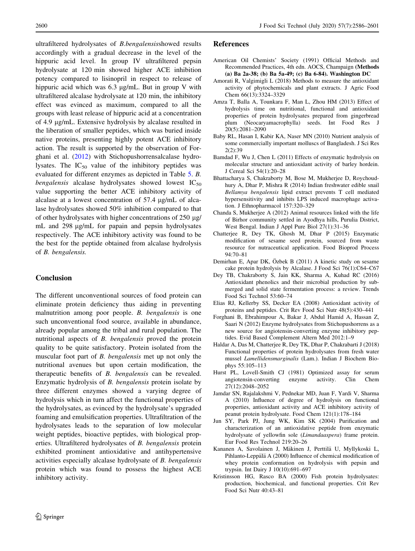<span id="page-14-0"></span>ultrafiltered hydrolysates of B.bengalensisshowed results accordingly with a gradual decrease in the level of the hippuric acid level. In group IV ultrafiltered pepsin hydrolysate at 120 min showed higher ACE inhibition potency compared to lisinopril in respect to release of hippuric acid which was  $6.3 \mu$ g/mL. But in group V with ultrafiltered alcalase hydrolysate at 120 min, the inhibitory effect was evinced as maximum, compared to all the groups with least release of hippuric acid at a concentration of 4.9 lg/mL. Extensive hydrolysis by alcalase resulted in the liberation of smaller peptides, which was buried inside native proteins, presenting highly potent ACE inhibitory action. The result is supported by the observation of Forghani et al. (2012) with Stichopushorrensalcalase hydrolysates. The  $IC_{50}$  value of the inhibitory peptides was evaluated for different enzymes as depicted in Table [5.](#page-13-0) B. *bengalensis* alcalase hydrolysates showed lowest  $IC_{50}$ value supporting the better ACE inhibitory activity of alcalase at a lowest concentration of 57.4  $\mu$ g/mL of alcalase hydrolysates showed 50% inhibition compared to that of other hydrolysates with higher concentrations of  $250 \mu g$ / mL and 298  $\mu$ g/mL for papain and pepsin hydrolysates respectively. The ACE inhibitory activity was found to be the best for the peptide obtained from alcalase hydrolysis of B. bengalensis.

# **Conclusion**

The different unconventional sources of food protein can eliminate protein deficiency thus aiding in preventing malnutrition among poor people. B. bengalensis is one such unconventional food source, available in abundance, already popular among the tribal and rural population. The nutritional aspects of B. bengalensis proved the protein quality to be quite satisfactory. Protein isolated from the muscular foot part of B. bengalensis met up not only the nutritional avenues but upon certain modification, the therapeutic benefits of B. bengalensis can be revealed. Enzymatic hydrolysis of B. bengalensis protein isolate by three different enzymes showed a varying degree of hydrolysis which in turn affect the functional properties of the hydrolysates, as evinced by the hydrolysate's upgraded foaming and emulsification properties. Ultrafiltration of the hydrolysates leads to the separation of low molecular weight peptides, bioactive peptides, with biological properties. Ultrafiltered hydrolysates of B. bengalensis protein exhibited prominent antioxidative and antihypertensive activities especially alcalase hydrolysate of B. bengalensis protein which was found to possess the highest ACE inhibitory activity.

## References

- American Oil Chemists' Society (1991) Official Methods and Recommended Practices, 4th edn. AOCS, Champaign (Methods (a) Ba 2a-38; (b) Ba 5a-49; (c) Ba 6-84). Washington DC
- Amorati R, Valgimigli L (2018) Methods to measure the antioxidant activity of phytochemicals and plant extracts. J Agric Food Chem 66(13):3324–3329
- Amza T, Balla A, Tounkara F, Man L, Zhou HM (2013) Effect of hydrolysis time on nutritional, functional and antioxidant properties of protein hydrolysates prepared from gingerbread plum (Neocaryamacrophylla) seeds. Int Food Res J 20(5):2081–2090
- Baby RL, Hasan I, Kabir KA, Naser MN (2010) Nutrient analysis of some commercially important molluscs of Bangladesh. J Sci Res 2(2):39
- Bamdad F, Wu J, Chen L (2011) Effects of enzymatic hydrolysis on molecular structure and antioxidant activity of barley hordein. J Cereal Sci 54(1):20–28
- Bhattacharya S, Chakraborty M, Bose M, Mukherjee D, Roychoudhury A, Dhar P, Mishra R (2014) Indian freshwater edible snail Bellamya bengalensis lipid extract prevents T cell mediated hypersensitivity and inhibits LPS induced macrophage activation. J Ethnopharmacol 157:320–329
- Chanda S, Mukherjee A (2012) Animal resources linked with the life of Birhor community settled in Ayodhya hills, Purulia District, West Bengal. Indian J Appl Pure Biol 27(1):31–36
- Chatterjee R, Dey TK, Ghosh M, Dhar P (2015) Enzymatic modification of sesame seed protein, sourced from waste resource for nutraceutical application. Food Bioprod Process 94:70–81
- Demirhan E, Apar DK, Özbek B (2011) A kinetic study on sesame cake protein hydrolysis by Alcalase. J Food Sci 76(1):C64–C67
- Dey TB, Chakraborty S, Jain KK, Sharma A, Kuhad RC (2016) Antioxidant phenolics and their microbial production by submerged and solid state fermentation process: a review. Trends Food Sci Technol 53:60–74
- Elias RJ, Kellerby SS, Decker EA (2008) Antioxidant activity of proteins and peptides. Crit Rev Food Sci Nutr 48(5):430–441
- Forghani B, Ebrahimpour A, Bakar J, Abdul Hamid A, Hassan Z, Saari N (2012) Enzyme hydrolysates from Stichopushorrens as a new source for angiotensin-converting enzyme inhibitory peptides. Evid Based Complement Altern Med 2012:1–9
- Haldar A, Das M, Chatterjee R, Dey TK, Dhar P, Chakrabarti J (2018) Functional properties of protein hydrolysates from fresh water mussel Lamellidensmarginalis (Lam.). Indian J Biochem Biophys 55:105–113
- Hurst PL, Lovell-Smith CJ (1981) Optimized assay for serum angiotensin-converting enzyme activity. Clin Chem 27(12):2048–2052
- Jamdar SN, Rajalakshmi V, Pednekar MD, Juan F, Yardi V, Sharma A (2010) Influence of degree of hydrolysis on functional properties, antioxidant activity and ACE inhibitory activity of peanut protein hydrolysate. Food Chem 121(1):178–184
- Jun SY, Park PJ, Jung WK, Kim SK (2004) Purification and characterization of an antioxidative peptide from enzymatic hydrolysate of yellowfin sole (Limandaaspera) frame protein. Eur Food Res Technol 219:20–26
- Kananen A, Savolainen J, Mäkinen J, Perttilä U, Myllykoski L, Pihlanto-Leppälä A (2000) Influence of chemical modification of whey protein conformation on hydrolysis with pepsin and trypsin. Int Dairy J 10(10):691–697
- Kristinsson HG, Rasco BA (2000) Fish protein hydrolysates: production, biochemical, and functional properties. Crit Rev Food Sci Nutr 40:43–81